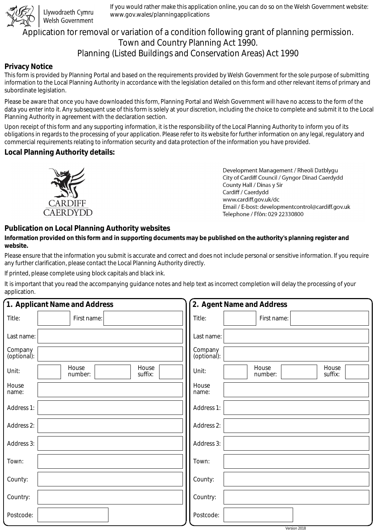

Llywodraeth Cymru Welsh Government

If you would rather make this application online, you can do so on the Welsh Government website: www.gov.wales/planningapplications

# Application for removal or variation of a condition following grant of planning permission. Town and Country Planning Act 1990. Planning (Listed Buildings and Conservation Areas) Act 1990

### **Privacy Notice**

This form is provided by Planning Portal and based on the requirements provided by Welsh Government for the sole purpose of submitting information to the Local Planning Authority in accordance with the legislation detailed on this form and other relevant items of primary and subordinate legislation.

Please be aware that once you have downloaded this form, Planning Portal and Welsh Government will have no access to the form of the data you enter into it. Any subsequent use of this form is solely at your discretion, including the choice to complete and submit it to the Local Planning Authority in agreement with the declaration section.

Upon receipt of this form and any supporting information, it is the responsibility of the Local Planning Authority to inform you of its obligations in regards to the processing of your application. Please refer to its website for further information on any legal, regulatory and commercial requirements relating to information security and data protection of the information you have provided.

### **Local Planning Authority details:**



Development Management / Rheoli Datblygu City of Cardiff Council / Gyngor Dinad Caerdydd County Hall / Dinas y Sir Cardiff / Caerdydd www.cardiff.gov.uk/dc Email / E-bost: developmentcontrol@cardiff.gov.uk Telephone / Ffôn: 029 22330800

## **Publication on Local Planning Authority websites**

#### **Information provided on this form and in supporting documents may be published on the authority's planning register and website.**

Please ensure that the information you submit is accurate and correct and does not include personal or sensitive information. If you require any further clarification, please contact the Local Planning Authority directly.

If printed, please complete using block capitals and black ink.

It is important that you read the accompanying guidance notes and help text as incorrect completion will delay the processing of your application.

|                        | 1. Applicant Name and Address        | 2. Agent Name and Address                     |  |  |
|------------------------|--------------------------------------|-----------------------------------------------|--|--|
| Title:                 | First name:                          | Title:<br>First name:                         |  |  |
| Last name:             |                                      | Last name:                                    |  |  |
| Company<br>(optional): |                                      | Company<br>(optional):                        |  |  |
| Unit:                  | House<br>House<br>number:<br>suffix: | House<br>House<br>Unit:<br>suffix:<br>number: |  |  |
| House<br>name:         |                                      | House<br>name:                                |  |  |
| Address 1:             |                                      | Address 1:                                    |  |  |
| Address 2:             |                                      | Address 2:                                    |  |  |
| Address 3:             |                                      | Address 3:                                    |  |  |
| Town:                  |                                      | Town:                                         |  |  |
| County:                |                                      | County:                                       |  |  |
| Country:               |                                      | Country:                                      |  |  |
| Postcode:              |                                      | Postcode:                                     |  |  |
|                        |                                      | Version 2018                                  |  |  |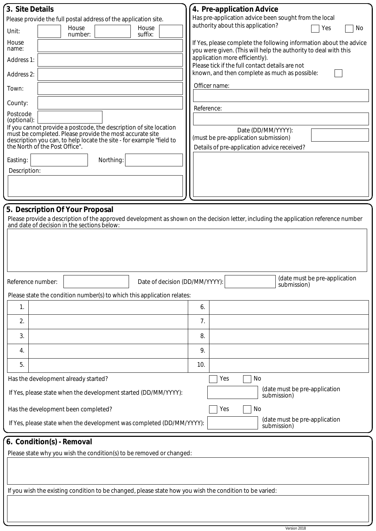| 3. Site Details                                                                                                                                                         | 4. Pre-application Advice                                                                                                             |  |  |
|-------------------------------------------------------------------------------------------------------------------------------------------------------------------------|---------------------------------------------------------------------------------------------------------------------------------------|--|--|
| Please provide the full postal address of the application site.                                                                                                         | Has pre-application advice been sought from the local                                                                                 |  |  |
| House<br>House<br>Unit:<br>suffix:<br>number:                                                                                                                           | authority about this application?<br>Yes<br>No                                                                                        |  |  |
| House<br>name:                                                                                                                                                          | If Yes, please complete the following information about the advice<br>you were given. (This will help the authority to deal with this |  |  |
| Address 1:                                                                                                                                                              | application more efficiently).<br>Please tick if the full contact details are not                                                     |  |  |
| Address 2:                                                                                                                                                              | known, and then complete as much as possible:                                                                                         |  |  |
| Town:                                                                                                                                                                   | Officer name:                                                                                                                         |  |  |
| County:                                                                                                                                                                 | Reference:                                                                                                                            |  |  |
| Postcode<br>(optional):                                                                                                                                                 |                                                                                                                                       |  |  |
| If you cannot provide a postcode, the description of site location<br>must be completed. Please provide the most accurate site                                          | Date (DD/MM/YYYY):                                                                                                                    |  |  |
| description you can, to help locate the site - for example "field to<br>the North of the Post Office".                                                                  | (must be pre-application submission)                                                                                                  |  |  |
|                                                                                                                                                                         | Details of pre-application advice received?                                                                                           |  |  |
| Easting:<br>Northing:<br>Description:                                                                                                                                   |                                                                                                                                       |  |  |
|                                                                                                                                                                         |                                                                                                                                       |  |  |
|                                                                                                                                                                         |                                                                                                                                       |  |  |
|                                                                                                                                                                         |                                                                                                                                       |  |  |
| 5. Description Of Your Proposal<br>Please provide a description of the approved development as shown on the decision letter, including the application reference number |                                                                                                                                       |  |  |
| and date of decision in the sections below:                                                                                                                             |                                                                                                                                       |  |  |
|                                                                                                                                                                         |                                                                                                                                       |  |  |
|                                                                                                                                                                         |                                                                                                                                       |  |  |
|                                                                                                                                                                         |                                                                                                                                       |  |  |
| Date of decision (DD/MM/YYYY):<br>Reference number:                                                                                                                     | (date must be pre-application<br>submission)                                                                                          |  |  |
| Please state the condition number(s) to which this application relates:                                                                                                 |                                                                                                                                       |  |  |
| 1.                                                                                                                                                                      | 6.                                                                                                                                    |  |  |
| 2.                                                                                                                                                                      | 7.                                                                                                                                    |  |  |
| 3.                                                                                                                                                                      | 8.                                                                                                                                    |  |  |
| 4.                                                                                                                                                                      | 9.                                                                                                                                    |  |  |
| 5.                                                                                                                                                                      | 10.                                                                                                                                   |  |  |
| Has the development already started?                                                                                                                                    | No<br>Yes                                                                                                                             |  |  |
| If Yes, please state when the development started (DD/MM/YYYY):                                                                                                         | (date must be pre-application<br>submission)                                                                                          |  |  |
| Yes<br>No<br>Has the development been completed?                                                                                                                        |                                                                                                                                       |  |  |
|                                                                                                                                                                         |                                                                                                                                       |  |  |
| If Yes, please state when the development was completed (DD/MM/YYYY):                                                                                                   | (date must be pre-application<br>submission)                                                                                          |  |  |
| 6. Condition(s) - Removal                                                                                                                                               |                                                                                                                                       |  |  |
| Please state why you wish the condition(s) to be removed or changed:                                                                                                    |                                                                                                                                       |  |  |
|                                                                                                                                                                         |                                                                                                                                       |  |  |
|                                                                                                                                                                         |                                                                                                                                       |  |  |
| If you wish the existing condition to be changed, please state how you wish the condition to be varied:                                                                 |                                                                                                                                       |  |  |
|                                                                                                                                                                         |                                                                                                                                       |  |  |
|                                                                                                                                                                         |                                                                                                                                       |  |  |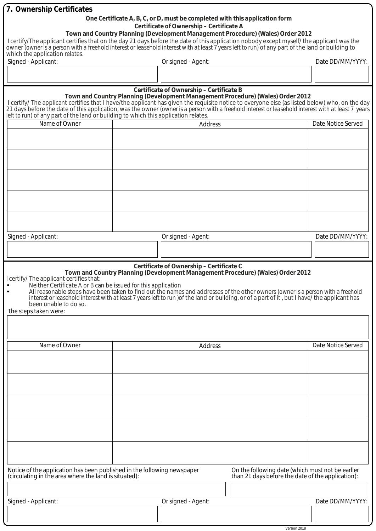| 7. Ownership Certificates                                                                                                                                                                                                                                                                                                                                                                                                                                                                                                                              |  |                                                                             |                                                                                 |                    |
|--------------------------------------------------------------------------------------------------------------------------------------------------------------------------------------------------------------------------------------------------------------------------------------------------------------------------------------------------------------------------------------------------------------------------------------------------------------------------------------------------------------------------------------------------------|--|-----------------------------------------------------------------------------|---------------------------------------------------------------------------------|--------------------|
|                                                                                                                                                                                                                                                                                                                                                                                                                                                                                                                                                        |  | One Certificate A, B, C, or D, must be completed with this application form |                                                                                 |                    |
|                                                                                                                                                                                                                                                                                                                                                                                                                                                                                                                                                        |  | Certificate of Ownership - Certificate A                                    | Town and Country Planning (Development Management Procedure) (Wales) Order 2012 |                    |
| I certify/The applicant certifies that on the day 21 days before the date of this application nobody except myself/ the applicant was the                                                                                                                                                                                                                                                                                                                                                                                                              |  |                                                                             |                                                                                 |                    |
| owner (owner is a person with a freehold interest or leasehold interest with at least 7 years left to run) of any part of the land or building to                                                                                                                                                                                                                                                                                                                                                                                                      |  |                                                                             |                                                                                 |                    |
| which the application relates.<br>Signed - Applicant:                                                                                                                                                                                                                                                                                                                                                                                                                                                                                                  |  | Or signed - Agent:                                                          |                                                                                 | Date DD/MM/YYYY:   |
|                                                                                                                                                                                                                                                                                                                                                                                                                                                                                                                                                        |  |                                                                             |                                                                                 |                    |
|                                                                                                                                                                                                                                                                                                                                                                                                                                                                                                                                                        |  |                                                                             |                                                                                 |                    |
|                                                                                                                                                                                                                                                                                                                                                                                                                                                                                                                                                        |  | Certificate of Ownership - Certificate B                                    |                                                                                 |                    |
| I certify/ The applicant certifies that I have/the applicant has given the requisite notice to everyone else (as listed below) who, on the day                                                                                                                                                                                                                                                                                                                                                                                                         |  |                                                                             | Town and Country Planning (Development Management Procedure) (Wales) Order 2012 |                    |
| 21 days before the date of this application, was the owner (owner is a person with a freehold interest or leasehold interest with at least 7 years                                                                                                                                                                                                                                                                                                                                                                                                     |  |                                                                             |                                                                                 |                    |
| left to run) of any part of the land or building to which this application relates.<br>Name of Owner                                                                                                                                                                                                                                                                                                                                                                                                                                                   |  |                                                                             |                                                                                 | Date Notice Served |
|                                                                                                                                                                                                                                                                                                                                                                                                                                                                                                                                                        |  | Address                                                                     |                                                                                 |                    |
|                                                                                                                                                                                                                                                                                                                                                                                                                                                                                                                                                        |  |                                                                             |                                                                                 |                    |
|                                                                                                                                                                                                                                                                                                                                                                                                                                                                                                                                                        |  |                                                                             |                                                                                 |                    |
|                                                                                                                                                                                                                                                                                                                                                                                                                                                                                                                                                        |  |                                                                             |                                                                                 |                    |
|                                                                                                                                                                                                                                                                                                                                                                                                                                                                                                                                                        |  |                                                                             |                                                                                 |                    |
|                                                                                                                                                                                                                                                                                                                                                                                                                                                                                                                                                        |  |                                                                             |                                                                                 |                    |
|                                                                                                                                                                                                                                                                                                                                                                                                                                                                                                                                                        |  |                                                                             |                                                                                 |                    |
|                                                                                                                                                                                                                                                                                                                                                                                                                                                                                                                                                        |  |                                                                             |                                                                                 |                    |
|                                                                                                                                                                                                                                                                                                                                                                                                                                                                                                                                                        |  |                                                                             |                                                                                 |                    |
|                                                                                                                                                                                                                                                                                                                                                                                                                                                                                                                                                        |  |                                                                             |                                                                                 |                    |
|                                                                                                                                                                                                                                                                                                                                                                                                                                                                                                                                                        |  |                                                                             |                                                                                 |                    |
| Signed - Applicant:                                                                                                                                                                                                                                                                                                                                                                                                                                                                                                                                    |  | Or signed - Agent:                                                          |                                                                                 | Date DD/MM/YYYY:   |
|                                                                                                                                                                                                                                                                                                                                                                                                                                                                                                                                                        |  |                                                                             |                                                                                 |                    |
|                                                                                                                                                                                                                                                                                                                                                                                                                                                                                                                                                        |  |                                                                             |                                                                                 |                    |
| Certificate of Ownership - Certificate C<br>Town and Country Planning (Development Management Procedure) (Wales) Order 2012<br>I certify/ The applicant certifies that:<br>• Neither Certificate A or B can be issued for this application<br>All reasonable steps have been taken to find out the names and addresses of the other owners (owner is a person with a freehold<br>interest or leasehold interest with at least 7 years left to run) of the land or building, or of a part of it, but I have/ the applicant has<br>been unable to do so. |  |                                                                             |                                                                                 |                    |
| The steps taken were:                                                                                                                                                                                                                                                                                                                                                                                                                                                                                                                                  |  |                                                                             |                                                                                 |                    |
|                                                                                                                                                                                                                                                                                                                                                                                                                                                                                                                                                        |  |                                                                             |                                                                                 |                    |
|                                                                                                                                                                                                                                                                                                                                                                                                                                                                                                                                                        |  |                                                                             |                                                                                 |                    |
| Name of Owner                                                                                                                                                                                                                                                                                                                                                                                                                                                                                                                                          |  | Address                                                                     |                                                                                 | Date Notice Served |
|                                                                                                                                                                                                                                                                                                                                                                                                                                                                                                                                                        |  |                                                                             |                                                                                 |                    |
|                                                                                                                                                                                                                                                                                                                                                                                                                                                                                                                                                        |  |                                                                             |                                                                                 |                    |
|                                                                                                                                                                                                                                                                                                                                                                                                                                                                                                                                                        |  |                                                                             |                                                                                 |                    |
|                                                                                                                                                                                                                                                                                                                                                                                                                                                                                                                                                        |  |                                                                             |                                                                                 |                    |
|                                                                                                                                                                                                                                                                                                                                                                                                                                                                                                                                                        |  |                                                                             |                                                                                 |                    |
|                                                                                                                                                                                                                                                                                                                                                                                                                                                                                                                                                        |  |                                                                             |                                                                                 |                    |
|                                                                                                                                                                                                                                                                                                                                                                                                                                                                                                                                                        |  |                                                                             |                                                                                 |                    |
|                                                                                                                                                                                                                                                                                                                                                                                                                                                                                                                                                        |  |                                                                             |                                                                                 |                    |
|                                                                                                                                                                                                                                                                                                                                                                                                                                                                                                                                                        |  |                                                                             |                                                                                 |                    |
|                                                                                                                                                                                                                                                                                                                                                                                                                                                                                                                                                        |  |                                                                             |                                                                                 |                    |
|                                                                                                                                                                                                                                                                                                                                                                                                                                                                                                                                                        |  |                                                                             |                                                                                 |                    |
| Notice of the application has been published in the following newspaper<br>On the following date (which must not be earlier<br>than 21 days before the date of the application):<br>(circulating in the area where the land is situated):                                                                                                                                                                                                                                                                                                              |  |                                                                             |                                                                                 |                    |
|                                                                                                                                                                                                                                                                                                                                                                                                                                                                                                                                                        |  |                                                                             |                                                                                 |                    |
| Signed - Applicant:                                                                                                                                                                                                                                                                                                                                                                                                                                                                                                                                    |  | Or signed - Agent:                                                          |                                                                                 | Date DD/MM/YYYY:   |
|                                                                                                                                                                                                                                                                                                                                                                                                                                                                                                                                                        |  |                                                                             |                                                                                 |                    |
|                                                                                                                                                                                                                                                                                                                                                                                                                                                                                                                                                        |  |                                                                             |                                                                                 |                    |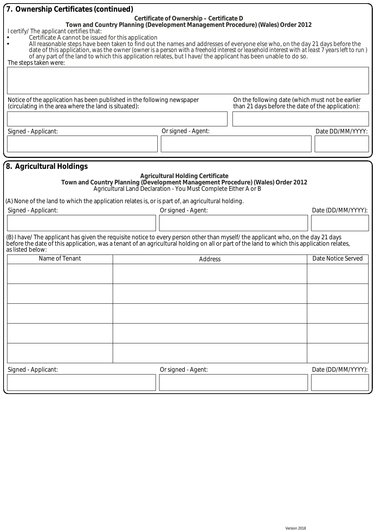| 7. Ownership Certificates (continued)                                                                                                                                                                                                                                                                                                                                                                                                                                                                                                                                                                                                                     |  |                                                                                                                                  |                                                                                                       |                    |  |
|-----------------------------------------------------------------------------------------------------------------------------------------------------------------------------------------------------------------------------------------------------------------------------------------------------------------------------------------------------------------------------------------------------------------------------------------------------------------------------------------------------------------------------------------------------------------------------------------------------------------------------------------------------------|--|----------------------------------------------------------------------------------------------------------------------------------|-------------------------------------------------------------------------------------------------------|--------------------|--|
| Certificate of Ownership - Certificate D<br>Town and Country Planning (Development Management Procedure) (Wales) Order 2012<br>I certify/ The applicant certifies that:<br>Certificate A cannot be issued for this application<br>All reasonable steps have been taken to find out the names and addresses of everyone else who, on the day 21 days before the<br>date of this application, was the owner (owner is a person with a freehold interest or leasehold interest with at least 7 years left to run)<br>of any part of the land to which this application relates, but I have/ the applicant has been unable to do so.<br>The steps taken were: |  |                                                                                                                                  |                                                                                                       |                    |  |
| Notice of the application has been published in the following newspaper<br>(circulating in the area where the land is situated):                                                                                                                                                                                                                                                                                                                                                                                                                                                                                                                          |  |                                                                                                                                  | On the following date (which must not be earlier<br>than 21 days before the date of the application): |                    |  |
|                                                                                                                                                                                                                                                                                                                                                                                                                                                                                                                                                                                                                                                           |  |                                                                                                                                  |                                                                                                       |                    |  |
|                                                                                                                                                                                                                                                                                                                                                                                                                                                                                                                                                                                                                                                           |  |                                                                                                                                  |                                                                                                       |                    |  |
| Signed - Applicant:                                                                                                                                                                                                                                                                                                                                                                                                                                                                                                                                                                                                                                       |  | Or signed - Agent:                                                                                                               |                                                                                                       | Date DD/MM/YYYY:   |  |
|                                                                                                                                                                                                                                                                                                                                                                                                                                                                                                                                                                                                                                                           |  |                                                                                                                                  |                                                                                                       |                    |  |
|                                                                                                                                                                                                                                                                                                                                                                                                                                                                                                                                                                                                                                                           |  |                                                                                                                                  |                                                                                                       |                    |  |
| (A) None of the land to which the application relates is, or is part of, an agricultural holding.<br>Signed - Applicant:<br>(B) I have/ The applicant has given the requisite notice to every person other than myself/ the applicant who, on the day 21 days<br>before the date of this application, was a tenant of an agricultural holding on all or part of the land to which this application relates,<br>as listed below:                                                                                                                                                                                                                           |  | <b>Agricultural Holding Certificate</b><br>Agricultural Land Declaration - You Must Complete Either A or B<br>Or signed - Agent: | Town and Country Planning (Development Management Procedure) (Wales) Order 2012                       | Date (DD/MM/YYYY): |  |
| Name of Tenant                                                                                                                                                                                                                                                                                                                                                                                                                                                                                                                                                                                                                                            |  | Address                                                                                                                          |                                                                                                       | Date Notice Served |  |
|                                                                                                                                                                                                                                                                                                                                                                                                                                                                                                                                                                                                                                                           |  |                                                                                                                                  |                                                                                                       |                    |  |
| Signed - Applicant:                                                                                                                                                                                                                                                                                                                                                                                                                                                                                                                                                                                                                                       |  | Or signed - Agent:                                                                                                               |                                                                                                       | Date (DD/MM/YYYY): |  |
|                                                                                                                                                                                                                                                                                                                                                                                                                                                                                                                                                                                                                                                           |  |                                                                                                                                  |                                                                                                       |                    |  |